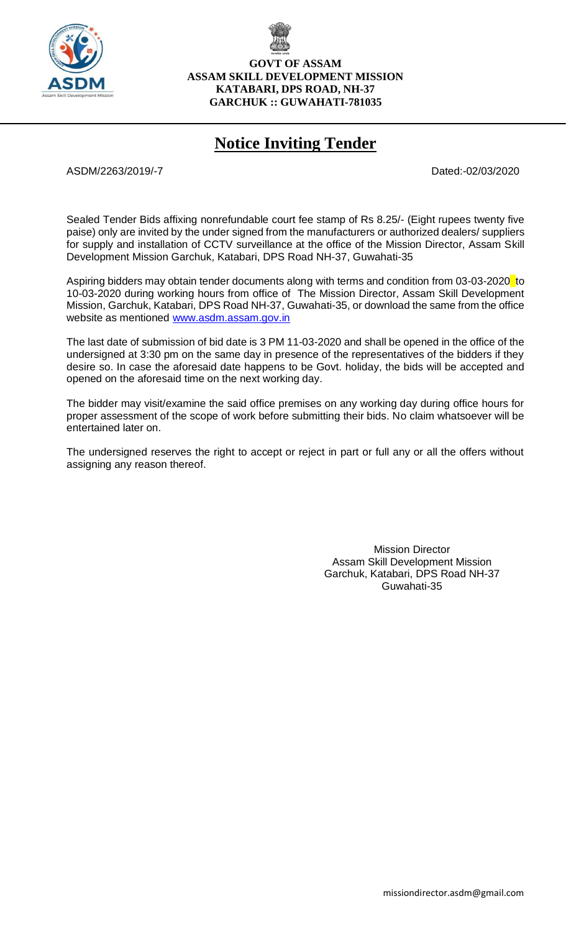

## **Notice Inviting Tender**

ASDM/2263/2019/-7 Dated:-02/03/2020

Sealed Tender Bids affixing nonrefundable court fee stamp of Rs 8.25/- (Eight rupees twenty five paise) only are invited by the under signed from the manufacturers or authorized dealers/ suppliers for supply and installation of CCTV surveillance at the office of the Mission Director, Assam Skill Development Mission Garchuk, Katabari, DPS Road NH-37, Guwahati-35

Aspiring bidders may obtain tender documents along with terms and condition from 03-03-2020 to 10-03-2020 during working hours from office of The Mission Director, Assam Skill Development Mission, Garchuk, Katabari, DPS Road NH-37, Guwahati-35, or download the same from the office website as mentioned [www.asdm.assam.gov.in](http://www.asdm.assam.gov.in/)

The last date of submission of bid date is 3 PM 11-03-2020 and shall be opened in the office of the undersigned at 3:30 pm on the same day in presence of the representatives of the bidders if they desire so. In case the aforesaid date happens to be Govt. holiday, the bids will be accepted and opened on the aforesaid time on the next working day.

The bidder may visit/examine the said office premises on any working day during office hours for proper assessment of the scope of work before submitting their bids. No claim whatsoever will be entertained later on.

The undersigned reserves the right to accept or reject in part or full any or all the offers without assigning any reason thereof.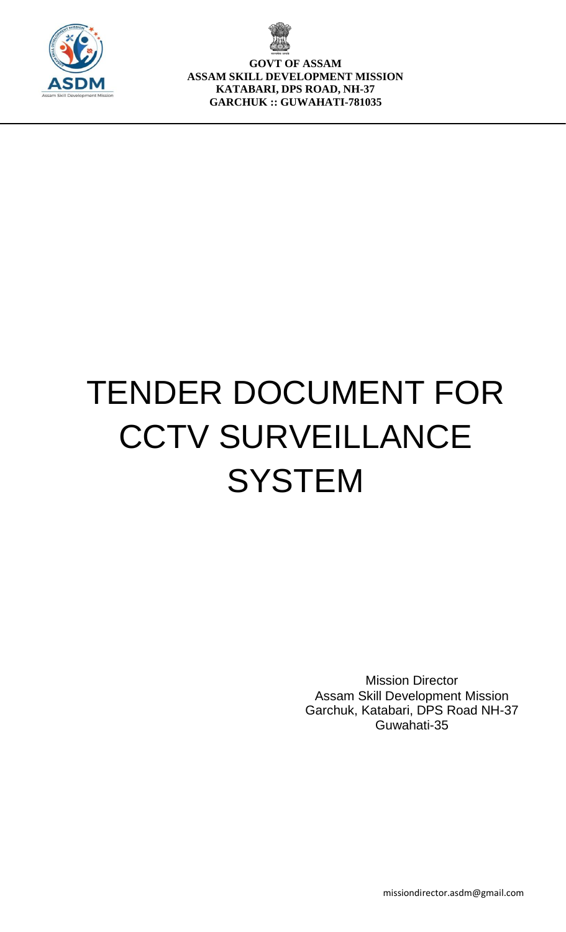

# TENDER DOCUMENT FOR **CCTV SURVEILLANCE SYSTEM**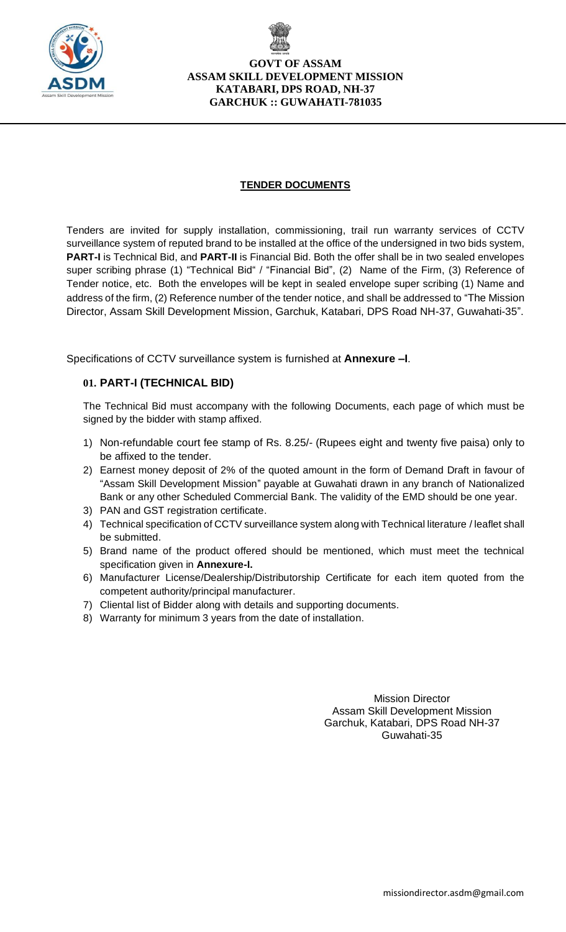

#### **TENDER DOCUMENTS**

Tenders are invited for supply installation, commissioning, trail run warranty services of CCTV surveillance system of reputed brand to be installed at the office of the undersigned in two bids system, **PART-I** is Technical Bid, and **PART-II** is Financial Bid. Both the offer shall be in two sealed envelopes super scribing phrase (1) "Technical Bid" / "Financial Bid", (2) Name of the Firm, (3) Reference of Tender notice, etc. Both the envelopes will be kept in sealed envelope super scribing (1) Name and address of the firm, (2) Reference number of the tender notice, and shall be addressed to "The Mission Director, Assam Skill Development Mission, Garchuk, Katabari, DPS Road NH-37, Guwahati-35".

Specifications of CCTV surveillance system is furnished at **Annexure –I**.

#### **01. PART-I (TECHNICAL BID)**

The Technical Bid must accompany with the following Documents, each page of which must be signed by the bidder with stamp affixed.

- 1) Non-refundable court fee stamp of Rs. 8.25/- (Rupees eight and twenty five paisa) only to be affixed to the tender.
- 2) Earnest money deposit of 2% of the quoted amount in the form of Demand Draft in favour of "Assam Skill Development Mission" payable at Guwahati drawn in any branch of Nationalized Bank or any other Scheduled Commercial Bank. The validity of the EMD should be one year.
- 3) PAN and GST registration certificate.
- 4) Technical specification of CCTV surveillance system along with Technical literature / leaflet shall be submitted.
- 5) Brand name of the product offered should be mentioned, which must meet the technical specification given in **Annexure-I.**
- 6) Manufacturer License/Dealership/Distributorship Certificate for each item quoted from the competent authority/principal manufacturer.
- 7) Cliental list of Bidder along with details and supporting documents.
- 8) Warranty for minimum 3 years from the date of installation.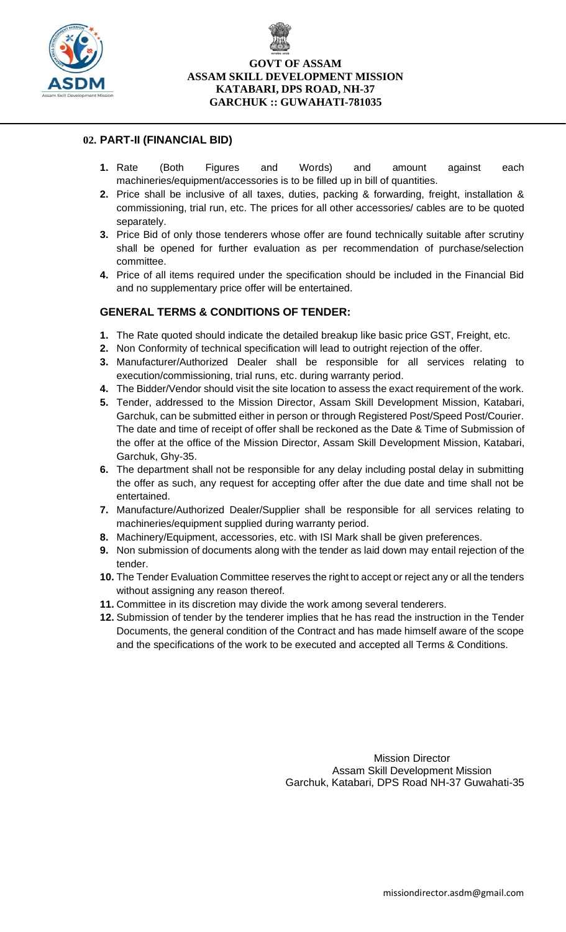

#### **02. PART-II (FINANCIAL BID)**

- **1.** Rate (Both Figures and Words) and amount against each machineries/equipment/accessories is to be filled up in bill of quantities.
- **2.** Price shall be inclusive of all taxes, duties, packing & forwarding, freight, installation & commissioning, trial run, etc. The prices for all other accessories/ cables are to be quoted separately.
- **3.** Price Bid of only those tenderers whose offer are found technically suitable after scrutiny shall be opened for further evaluation as per recommendation of purchase/selection committee.
- **4.** Price of all items required under the specification should be included in the Financial Bid and no supplementary price offer will be entertained.

#### **GENERAL TERMS & CONDITIONS OF TENDER:**

- **1.** The Rate quoted should indicate the detailed breakup like basic price GST, Freight, etc.
- **2.** Non Conformity of technical specification will lead to outright rejection of the offer.
- **3.** Manufacturer/Authorized Dealer shall be responsible for all services relating to execution/commissioning, trial runs, etc. during warranty period.
- **4.** The Bidder/Vendor should visit the site location to assess the exact requirement of the work.
- **5.** Tender, addressed to the Mission Director, Assam Skill Development Mission, Katabari, Garchuk, can be submitted either in person or through Registered Post/Speed Post/Courier. The date and time of receipt of offer shall be reckoned as the Date & Time of Submission of the offer at the office of the Mission Director, Assam Skill Development Mission, Katabari, Garchuk, Ghy-35.
- **6.** The department shall not be responsible for any delay including postal delay in submitting the offer as such, any request for accepting offer after the due date and time shall not be entertained.
- **7.** Manufacture/Authorized Dealer/Supplier shall be responsible for all services relating to machineries/equipment supplied during warranty period.
- **8.** Machinery/Equipment, accessories, etc. with ISI Mark shall be given preferences.
- **9.** Non submission of documents along with the tender as laid down may entail rejection of the tender.
- **10.** The Tender Evaluation Committee reserves the right to accept or reject any or all the tenders without assigning any reason thereof.
- **11.** Committee in its discretion may divide the work among several tenderers.
- **12.** Submission of tender by the tenderer implies that he has read the instruction in the Tender Documents, the general condition of the Contract and has made himself aware of the scope and the specifications of the work to be executed and accepted all Terms & Conditions.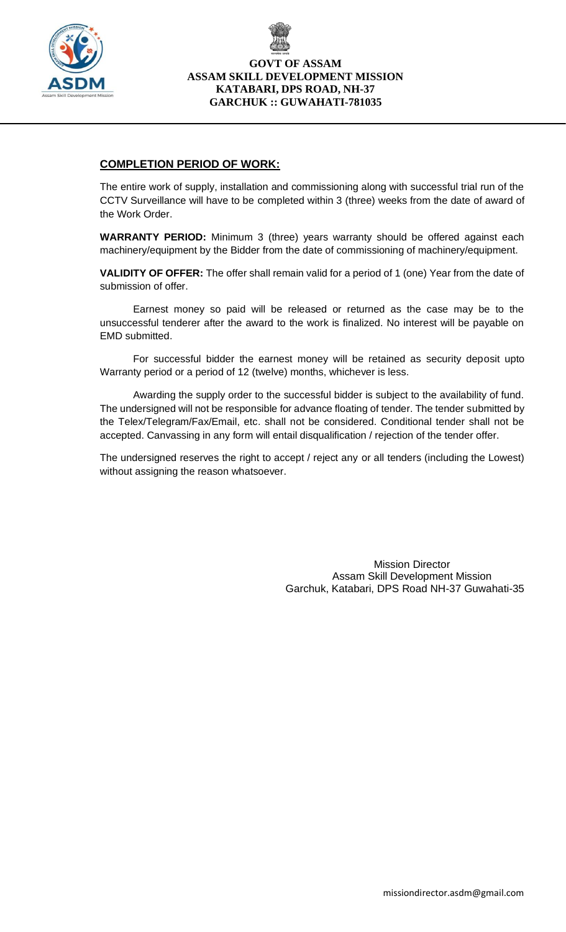

#### **COMPLETION PERIOD OF WORK:**

The entire work of supply, installation and commissioning along with successful trial run of the CCTV Surveillance will have to be completed within 3 (three) weeks from the date of award of the Work Order.

**WARRANTY PERIOD:** Minimum 3 (three) years warranty should be offered against each machinery/equipment by the Bidder from the date of commissioning of machinery/equipment.

**VALIDITY OF OFFER:** The offer shall remain valid for a period of 1 (one) Year from the date of submission of offer.

Earnest money so paid will be released or returned as the case may be to the unsuccessful tenderer after the award to the work is finalized. No interest will be payable on EMD submitted.

For successful bidder the earnest money will be retained as security deposit upto Warranty period or a period of 12 (twelve) months, whichever is less.

Awarding the supply order to the successful bidder is subject to the availability of fund. The undersigned will not be responsible for advance floating of tender. The tender submitted by the Telex/Telegram/Fax/Email, etc. shall not be considered. Conditional tender shall not be accepted. Canvassing in any form will entail disqualification / rejection of the tender offer.

The undersigned reserves the right to accept / reject any or all tenders (including the Lowest) without assigning the reason whatsoever.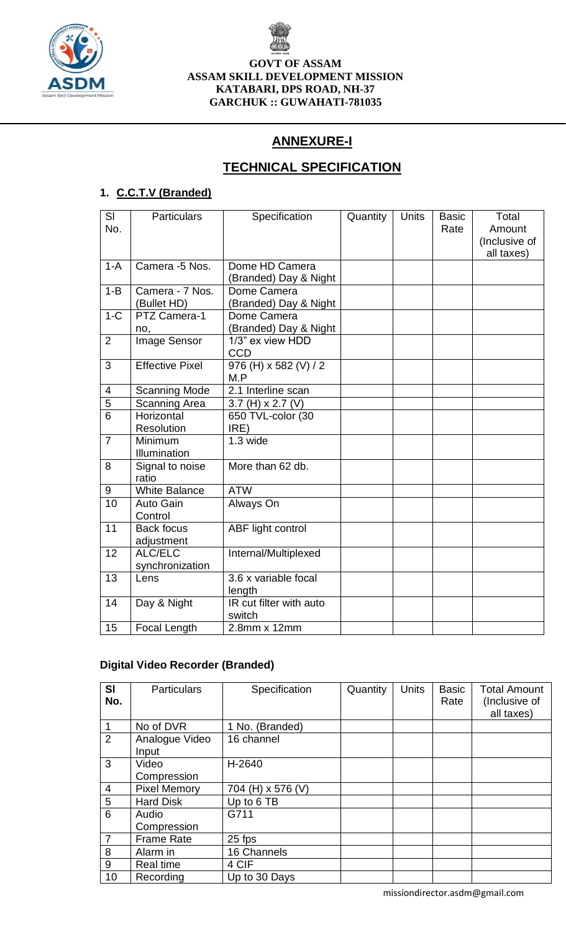

## **ANNEXURE-I**

## **TECHNICAL SPECIFICATION**

### **1. C.C.T.V (Branded)**

| SI<br>No.      | <b>Particulars</b>              | Specification                           | Quantity | Units | <b>Basic</b><br>Rate | Total<br>Amount<br>(Inclusive of<br>all taxes) |
|----------------|---------------------------------|-----------------------------------------|----------|-------|----------------------|------------------------------------------------|
| $1 - A$        | Camera -5 Nos.                  | Dome HD Camera<br>(Branded) Day & Night |          |       |                      |                                                |
| $1 - B$        | Camera - 7 Nos.<br>(Bullet HD)  | Dome Camera<br>(Branded) Day & Night    |          |       |                      |                                                |
| $1-C$          | PTZ Camera-1<br>no,             | Dome Camera<br>(Branded) Day & Night    |          |       |                      |                                                |
| 2              | Image Sensor                    | 1/3" ex view HDD<br><b>CCD</b>          |          |       |                      |                                                |
| 3              | <b>Effective Pixel</b>          | 976 (H) x 582 (V) / 2<br>M.P            |          |       |                      |                                                |
| 4              | <b>Scanning Mode</b>            | 2.1 Interline scan                      |          |       |                      |                                                |
| 5              | <b>Scanning Area</b>            | 3.7 (H) $\times$ 2.7 (V)                |          |       |                      |                                                |
| $\overline{6}$ | Horizontal<br><b>Resolution</b> | 650 TVL-color (30<br>IRE)               |          |       |                      |                                                |
| $\overline{7}$ | Minimum<br>Illumination         | 1.3 wide                                |          |       |                      |                                                |
| 8              | Signal to noise<br>ratio        | More than 62 db.                        |          |       |                      |                                                |
| 9              | <b>White Balance</b>            | <b>ATW</b>                              |          |       |                      |                                                |
| 10             | Auto Gain<br>Control            | Always On                               |          |       |                      |                                                |
| 11             | <b>Back focus</b><br>adjustment | ABF light control                       |          |       |                      |                                                |
| 12             | ALC/ELC<br>synchronization      | Internal/Multiplexed                    |          |       |                      |                                                |
| 13             | Lens                            | 3.6 x variable focal<br>length          |          |       |                      |                                                |
| 14             | Day & Night                     | IR cut filter with auto<br>switch       |          |       |                      |                                                |
| 15             | <b>Focal Length</b>             | 2.8mm x 12mm                            |          |       |                      |                                                |

#### **Digital Video Recorder (Branded)**

| <b>SI</b><br>No. | <b>Particulars</b>      | Specification     | Quantity | <b>Units</b> | <b>Basic</b><br>Rate | <b>Total Amount</b><br>(Inclusive of<br>all taxes) |
|------------------|-------------------------|-------------------|----------|--------------|----------------------|----------------------------------------------------|
| 1                | No of DVR               | 1 No. (Branded)   |          |              |                      |                                                    |
| $\overline{2}$   | Analogue Video<br>Input | 16 channel        |          |              |                      |                                                    |
| 3                | Video<br>Compression    | H-2640            |          |              |                      |                                                    |
| 4                | <b>Pixel Memory</b>     | 704 (H) x 576 (V) |          |              |                      |                                                    |
| 5                | <b>Hard Disk</b>        | Up to 6 TB        |          |              |                      |                                                    |
| 6                | Audio<br>Compression    | G711              |          |              |                      |                                                    |
| $\overline{7}$   | <b>Frame Rate</b>       | 25 fps            |          |              |                      |                                                    |
| 8                | Alarm in                | 16 Channels       |          |              |                      |                                                    |
| 9                | Real time               | 4 CIF             |          |              |                      |                                                    |
| 10               | Recording               | Up to 30 Days     |          |              |                      |                                                    |

missiondirector.asdm@gmail.com